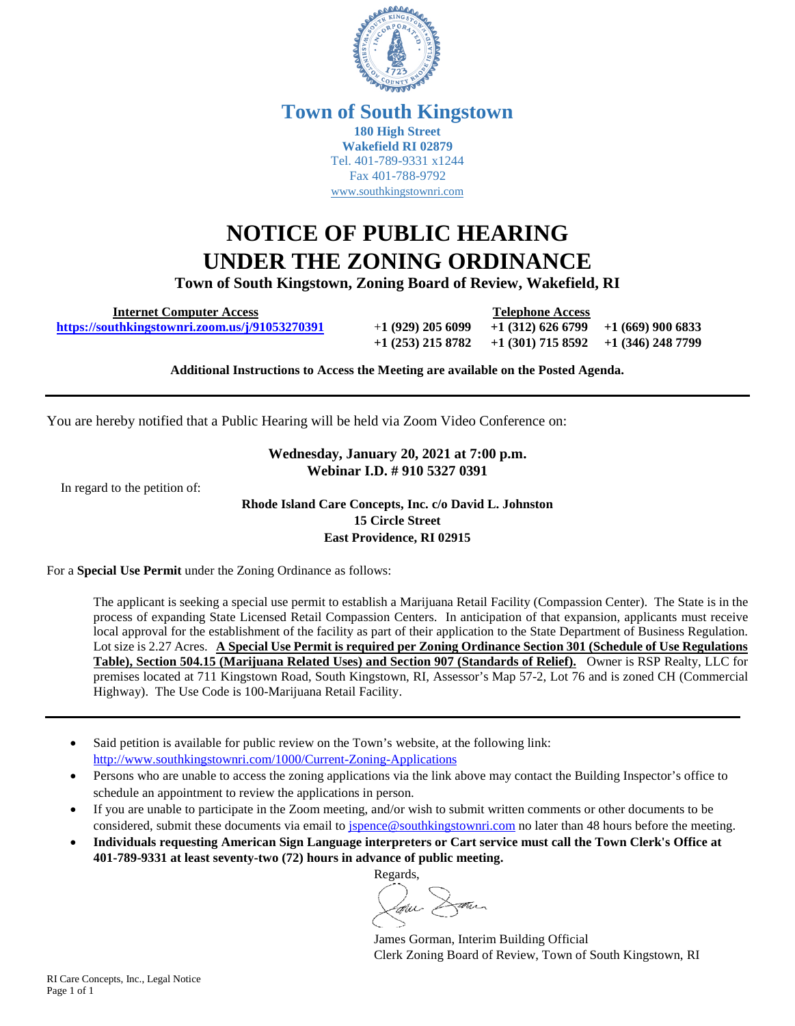

#### **Town of South Kingstown 180 High Street Wakefield RI 02879** Tel. 401-789-9331 x1244 Fax 401-788-9792 [www.southkingstownri.com](http://www.southkingstownri.com/)

# **NOTICE OF PUBLIC HEARING UNDER THE ZONING ORDINANCE**

**Town of South Kingstown, Zoning Board of Review, Wakefield, RI** 

 **Internet Computer Access Telephone Access** 

 **<https://southkingstownri.zoom.us/j/91053270391>**+**1 (929) 205 6099 +1 (312) 626 6799 +1 (669) 900 6833 +1 (253) 215 8782 +1 (301) 715 8592 +1 (346) 248 7799** 

**Additional Instructions to Access the Meeting are available on the Posted Agenda.** 

You are hereby notified that a Public Hearing will be held via Zoom Video Conference on:

#### **Wednesday, January 20, 2021 at 7:00 p.m. Webinar I.D. # 910 5327 0391**

In regard to the petition of:

**Rhode Island Care Concepts, Inc. c/o David L. Johnston 15 Circle Street East Providence, RI 02915** 

For a **Special Use Permit** under the Zoning Ordinance as follows:

The applicant is seeking a special use permit to establish a Marijuana Retail Facility (Compassion Center). The State is in the process of expanding State Licensed Retail Compassion Centers. In anticipation of that expansion, applicants must receive local approval for the establishment of the facility as part of their application to the State Department of Business Regulation. Lot size is 2.27 Acres. **A Special Use Permit is required per Zoning Ordinance Section 301 (Schedule of Use Regulations Table), Section 504.15 (Marijuana Related Uses) and Section 907 (Standards of Relief).** Owner is RSP Realty, LLC for premises located at 711 Kingstown Road, South Kingstown, RI, Assessor's Map 57-2, Lot 76 and is zoned CH (Commercial Highway). The Use Code is 100-Marijuana Retail Facility.

- Said petition is available for public review on the Town's website, at the following link: <http://www.southkingstownri.com/1000/Current-Zoning-Applications>
- Persons who are unable to access the zoning applications via the link above may contact the Building Inspector's office to schedule an appointment to review the applications in person.
- If you are unable to participate in the Zoom meeting, and/or wish to submit written comments or other documents to be considered, submit these documents via email to [jspence@southkingstownri.com](mailto:jspence@southkingstownri.com) no later than 48 hours before the meeting.
- **Individuals requesting American Sign Language interpreters or Cart service must call the Town Clerk's Office at 401-789-9331 at least seventy-two (72) hours in advance of public meeting.**

Regards, Laur Dann

James Gorman, Interim Building Official Clerk Zoning Board of Review, Town of South Kingstown, RI